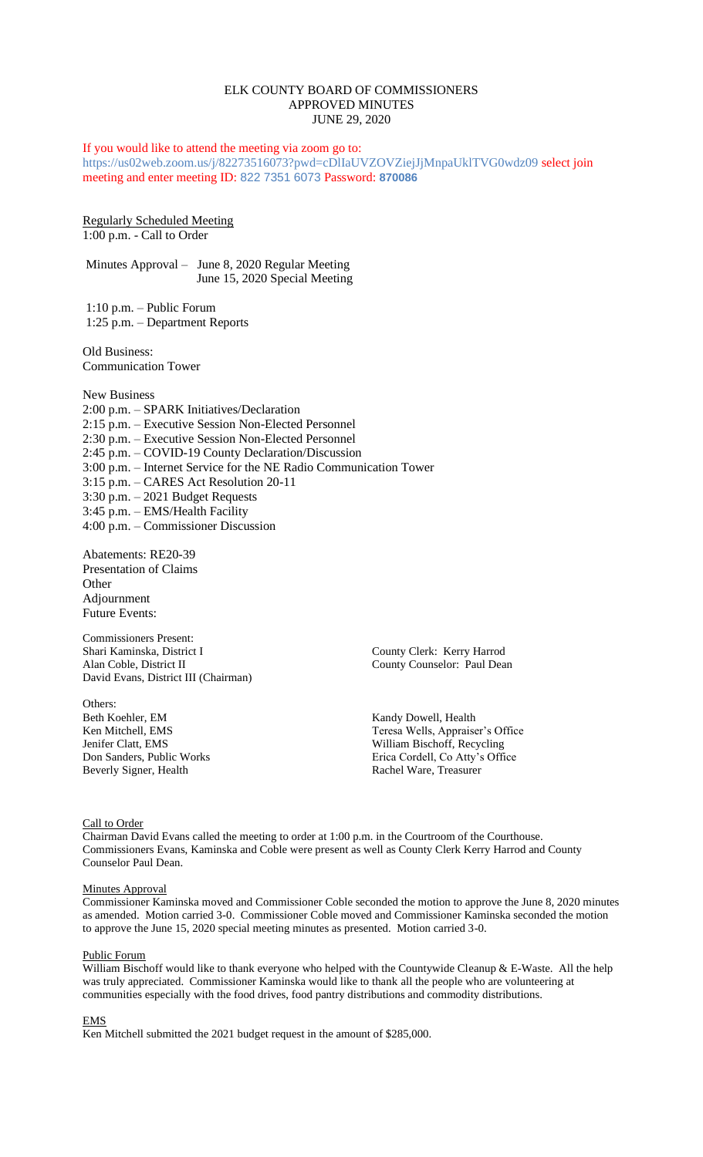## ELK COUNTY BOARD OF COMMISSIONERS APPROVED MINUTES JUNE 29, 2020

If you would like to attend the meeting via zoom go to: https://us02web.zoom.us/j/82273516073?pwd=cDlIaUVZOVZiejJjMnpaUklTVG0wdz09 select join meeting and enter meeting ID: 822 7351 6073 Password: **870086**

Regularly Scheduled Meeting 1:00 p.m. - Call to Order

Minutes Approval – June 8, 2020 Regular Meeting June 15, 2020 Special Meeting

1:10 p.m. – Public Forum 1:25 p.m. – Department Reports

Old Business: Communication Tower

New Business 2:00 p.m. – SPARK Initiatives/Declaration 2:15 p.m. – Executive Session Non-Elected Personnel 2:30 p.m. – Executive Session Non-Elected Personnel 2:45 p.m. – COVID-19 County Declaration/Discussion 3:00 p.m. – Internet Service for the NE Radio Communication Tower 3:15 p.m. – CARES Act Resolution 20-11 3:30 p.m. – 2021 Budget Requests 3:45 p.m. – EMS/Health Facility 4:00 p.m. – Commissioner Discussion

Abatements: RE20-39 Presentation of Claims **Other** Adjournment Future Events:

Commissioners Present: Shari Kaminska, District I County Clerk: Kerry Harrod Alan Coble, District II County Counselor: Paul Dean David Evans, District III (Chairman)

Others:<br>Beth Koehler, EM Beverly Signer, Health Rachel Ware, Treasurer

Kandy Dowell, Health Ken Mitchell, EMS Teresa Wells, Appraiser's Office Jenifer Clatt, EMS<br>
Don Sanders, Public Works<br>
Erica Cordell, Co Atty's Offi Erica Cordell, Co Atty's Office

Call to Order

Chairman David Evans called the meeting to order at 1:00 p.m. in the Courtroom of the Courthouse. Commissioners Evans, Kaminska and Coble were present as well as County Clerk Kerry Harrod and County Counselor Paul Dean.

#### **Minutes Approval**

Commissioner Kaminska moved and Commissioner Coble seconded the motion to approve the June 8, 2020 minutes as amended. Motion carried 3-0. Commissioner Coble moved and Commissioner Kaminska seconded the motion to approve the June 15, 2020 special meeting minutes as presented. Motion carried 3-0.

## Public Forum

William Bischoff would like to thank everyone who helped with the Countywide Cleanup & E-Waste. All the help was truly appreciated. Commissioner Kaminska would like to thank all the people who are volunteering at communities especially with the food drives, food pantry distributions and commodity distributions.

EMS

Ken Mitchell submitted the 2021 budget request in the amount of \$285,000.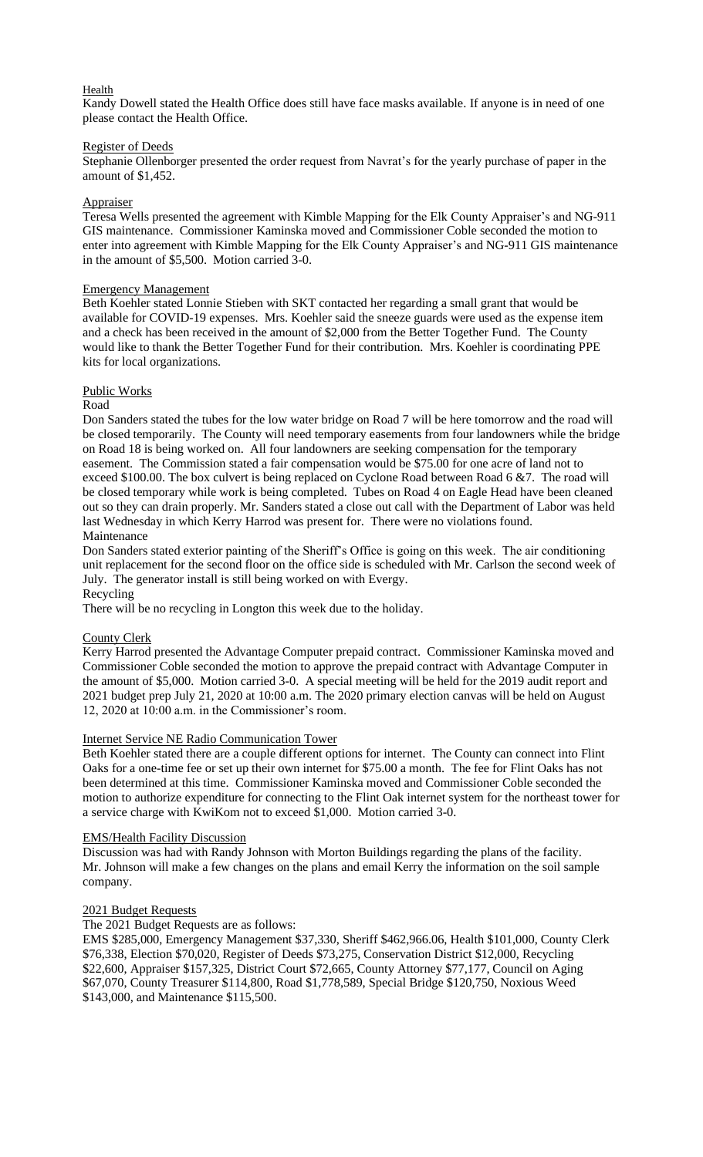# Health

Kandy Dowell stated the Health Office does still have face masks available. If anyone is in need of one please contact the Health Office.

# Register of Deeds

Stephanie Ollenborger presented the order request from Navrat's for the yearly purchase of paper in the amount of \$1,452.

# Appraiser

Teresa Wells presented the agreement with Kimble Mapping for the Elk County Appraiser's and NG-911 GIS maintenance. Commissioner Kaminska moved and Commissioner Coble seconded the motion to enter into agreement with Kimble Mapping for the Elk County Appraiser's and NG-911 GIS maintenance in the amount of \$5,500. Motion carried 3-0.

# Emergency Management

Beth Koehler stated Lonnie Stieben with SKT contacted her regarding a small grant that would be available for COVID-19 expenses. Mrs. Koehler said the sneeze guards were used as the expense item and a check has been received in the amount of \$2,000 from the Better Together Fund. The County would like to thank the Better Together Fund for their contribution. Mrs. Koehler is coordinating PPE kits for local organizations.

# Public Works

# Road

Don Sanders stated the tubes for the low water bridge on Road 7 will be here tomorrow and the road will be closed temporarily. The County will need temporary easements from four landowners while the bridge on Road 18 is being worked on. All four landowners are seeking compensation for the temporary easement. The Commission stated a fair compensation would be \$75.00 for one acre of land not to exceed \$100.00. The box culvert is being replaced on Cyclone Road between Road 6 &7. The road will be closed temporary while work is being completed. Tubes on Road 4 on Eagle Head have been cleaned out so they can drain properly. Mr. Sanders stated a close out call with the Department of Labor was held last Wednesday in which Kerry Harrod was present for. There were no violations found. Maintenance

Don Sanders stated exterior painting of the Sheriff's Office is going on this week. The air conditioning unit replacement for the second floor on the office side is scheduled with Mr. Carlson the second week of July. The generator install is still being worked on with Evergy. Recycling

There will be no recycling in Longton this week due to the holiday.

# County Clerk

Kerry Harrod presented the Advantage Computer prepaid contract. Commissioner Kaminska moved and Commissioner Coble seconded the motion to approve the prepaid contract with Advantage Computer in the amount of \$5,000. Motion carried 3-0. A special meeting will be held for the 2019 audit report and 2021 budget prep July 21, 2020 at 10:00 a.m. The 2020 primary election canvas will be held on August 12, 2020 at 10:00 a.m. in the Commissioner's room.

# Internet Service NE Radio Communication Tower

Beth Koehler stated there are a couple different options for internet. The County can connect into Flint Oaks for a one-time fee or set up their own internet for \$75.00 a month. The fee for Flint Oaks has not been determined at this time. Commissioner Kaminska moved and Commissioner Coble seconded the motion to authorize expenditure for connecting to the Flint Oak internet system for the northeast tower for a service charge with KwiKom not to exceed \$1,000. Motion carried 3-0.

# EMS/Health Facility Discussion

Discussion was had with Randy Johnson with Morton Buildings regarding the plans of the facility. Mr. Johnson will make a few changes on the plans and email Kerry the information on the soil sample company.

# 2021 Budget Requests

The 2021 Budget Requests are as follows:

EMS \$285,000, Emergency Management \$37,330, Sheriff \$462,966.06, Health \$101,000, County Clerk \$76,338, Election \$70,020, Register of Deeds \$73,275, Conservation District \$12,000, Recycling \$22,600, Appraiser \$157,325, District Court \$72,665, County Attorney \$77,177, Council on Aging \$67,070, County Treasurer \$114,800, Road \$1,778,589, Special Bridge \$120,750, Noxious Weed \$143,000, and Maintenance \$115,500.